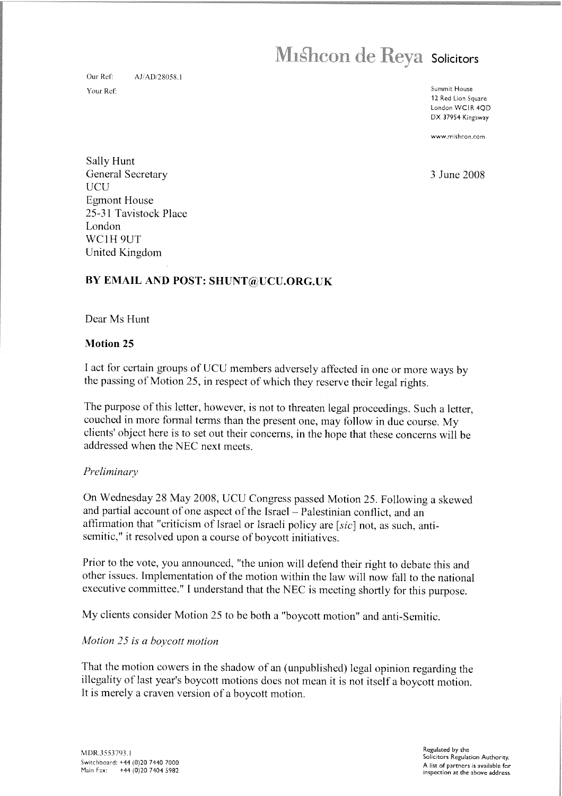# Mishcon de Reya Solicitors

Our Ref: AJ/AD/28058.1 Summit House our Re!:

12 Red Lion Square Londor WCIR 4QD DX 37954 Kingsway

www.mishcon.com

Sally Hunt General Secretary 3 June 2008 UCU Egmont House 25-31 Tavistock Place London WC1H 9UT United Kingdom

### BY EMAIL AND POST: SHUNT@UCU.ORG.UK

### Dear Ms Hunt

### Motion 25

<sup>I</sup> act for certain groups of UCU members adversely affected in one or more ways by the passing of Motion 25, in respect of which they reserve their legal rights.

The purpose of this letter, however, is not to threaten legal proceedings. Such <sup>a</sup> letter, couched in more formal terms than the present one, may follow in due course. My clients' object here is to set out their concerns, in the hope that these concerns will be addressed when the NEC next meets.

#### Preliminary

On Wednesday <sup>28</sup> May 2008. UCU Congress passed Motion 25. Following <sup>a</sup> skewed and partial account of one aspect of the Israel — Palestinian conflict, and an affirmation that "criticism of Israel or Israeli policy are [sic] not, as such, antisemitic," it resolved upon <sup>a</sup> course of boycott initiatives.

Prior to the vote, you announced, "the union will defend their right to debate this and other issues. Implementation of the motion within the law will now fall to the national executive committee." <sup>I</sup> understand that the NEC is meeting shortly for this purpose.

My clients consider Motion <sup>25</sup> to be both <sup>a</sup> "boycott motion" and anti-Semitic.

### Motion 25 is a boycott motion

That the motion cowers in the shadow of an (unpublished) legal opinion regarding the illegality of last year's boycott motions does not mean it is not itself <sup>a</sup> boycott motion. It is merely <sup>a</sup> craven version of <sup>a</sup> boycott motion. Regulated by the Solicitors Regulated by the Regulated by the Regulated by the Regulated by the Since Northorn Authority.<br>MDR.3553793.1 Regulated by the Solicitors Regulated by the Since Authority.<br>Main Fax: +44 (0)20 7440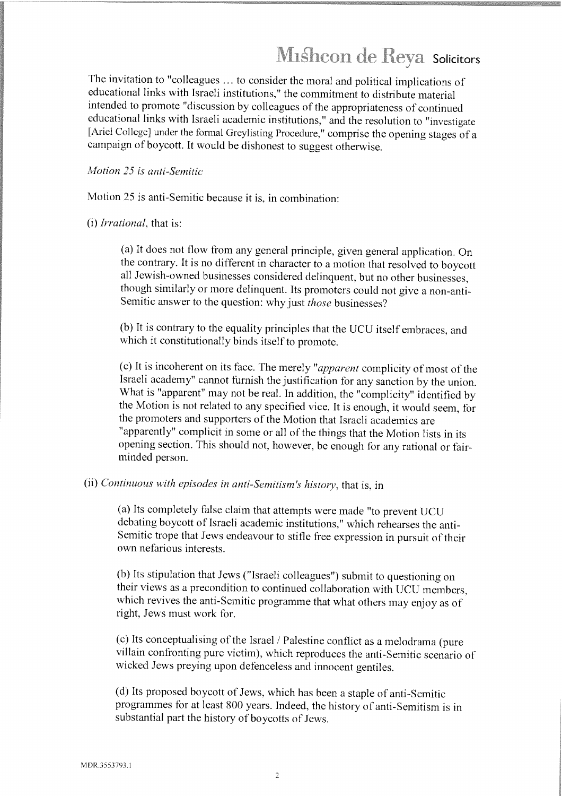## Mishcon de Reya Solicitors

The invitation to "colleagues ...to consider the moral and political implications of educational links with Israeli institutions," the commitment to distribute material intended to promote "discussion by colleagues of the appropriateness of continued educational links with Israeli academic institutions," and the resolution to "investigate [Ariel College] under the formal Greylisting Procedure," comprise the opening stages of a campaign of boycott. it would be dishonest to suggest otherwise.

### Motion 25 is anti-Semitic

Motion 25 is anti-Semitic because it is, in combination:

(i) Irrational, that is:

(a) It does not tiow from any general principle, <sup>g</sup>iven general application. On the contrary. It is no different in character to <sup>a</sup> motion that resolved to boycott all Jewish-owned businesses considered delinquent, but no other businesses, though similarly or more delinquent. Its promoters could not <sup>g</sup>ive <sup>a</sup> non-anti-Semitic answer to the question: why just those businesses?

(b) It is contrary to the equality principles that the UCU itself embraces, and which it constitutionally binds itself to promote.

(c) It is incoherent on its face. The merely "apparent complicity of most of the Israeli academy" cannot furnish the justification for any sanction by the union. What is "apparent" may not be real. in addition, the "complicity" identified by the Motion is not related to any specified vice, It is enough, it would seem, for the promoters and supporters of the Motion that Israeli academics are "apparently" complicit in some or all of the things that the Motion lists in its opening section. This should not, however, he enoug<sup>h</sup> for any rational or fairminded person.

### (ii) Continuous with episodes in anti-Semitism's history, that is, in

(a) Its completely false claim that attempts were made "to prevent UCU debating boycott of Israeli academic institutions," which rehearses the anti-Semitic trope that Jews endeavour to stifle free expression in pursuit of their own nefarious interests.

(b) Its stipulation that Jews ("Israeli colleagues") submit to questioning on their views as <sup>a</sup> precondition to continued collaboration with UCU members, which revives the anti-Semitic programme that what others may enjoy as of right, Jews must work for.

(c) Its conceptualising of the Israel / Palestine conflict as <sup>a</sup> melodrama (pure villain confronting pure victim), which reproduces the anti-Semitic scenario of wicked Jews preying upon defenceless and innocent gentiles.

(d) Its proposed boycott of Jews, which has been a staple of anti-Semitic programmes for at least <sup>800</sup> years. Indeed, the history of anti—Semitism is in substantial part the history of boycotts of Jews.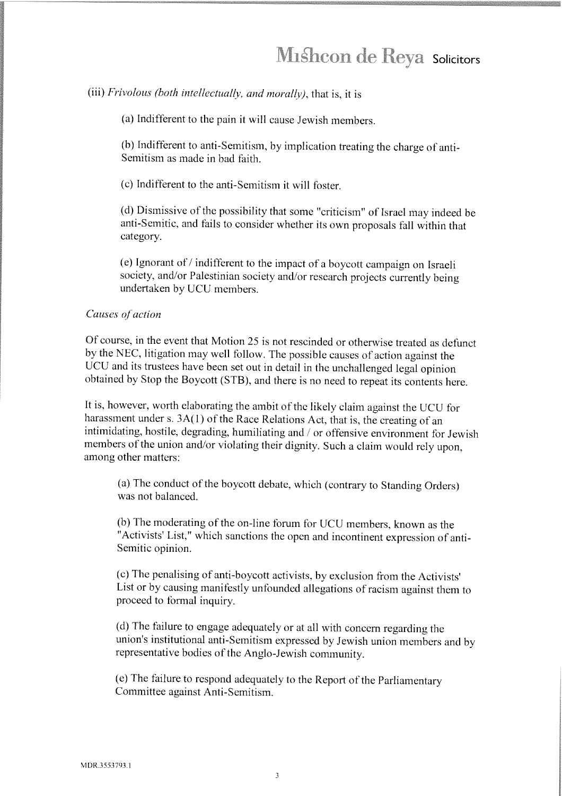# Mishcon de Reya Solicitors

(iii) Frivolous (both intellectually, and morally), that is, it is

(a) Indifferent to the pain it will cause Jewish members.

(b) Indifferent to anti-Semitism, by implication treating the charge of anti-Semitism as made in bad faith.

(c) Indifferent to the anti-Semitism it will foster.

(d) Dismissive of the possibility that some "criticism" of Israel may indeed be anti-Semitic, and fails to consider whether its own proposals fall within that category.

(e) Ignorant of/indifferent to the impact of <sup>a</sup> boycott campaign on Israeli society, and/or Palestinian society and/or research projects currently being undertaken by UCU members.

#### Causes of action

Of course, in the event that Motion <sup>25</sup> is not rescinded or otherwise treated as defunct by the NEC, litigation may well follow. The possible causes of action against the UCU and its trustees have been set out in detail in the unchallenged legal opinion obtained by Stop the Boycott (STB). and there is no need to repeat its contents here.

It is, however, worth elaborating the ambit of the likely claim against the UCU for harassment under s. 3A(1) of the Race Relations Act, that is, the creating of an intimidating, hostile, degrading, humiliating and / or offensive environment for Jewish members of the union and/or violating their dignity. Such <sup>a</sup> claim would rely upon, among other matters:

(a) The conduct of the boycott debate, which (contrary to Standing Orders) was not balanced.

(b) The moderating of the on-line forum for UCU members, known as the "Activists' List," which sanctions the open and incontinent expression of anti-Semitic opinion.

(c) The penalising of anti-boycott activists, by exclusion from the Activists' List or by causing manifestly unfounded allegations of racism against them to proceed to formal inquiry.

(d) The failure to engage adequately or at all with concern regarding the union's institutional anti-Semitism expressed by Jewish union members and by representative bodies of the Anglo-Jewish community.

(e) The failure to respond adequately to the Report of the Parliamentary Committee against Anti-Semitism.